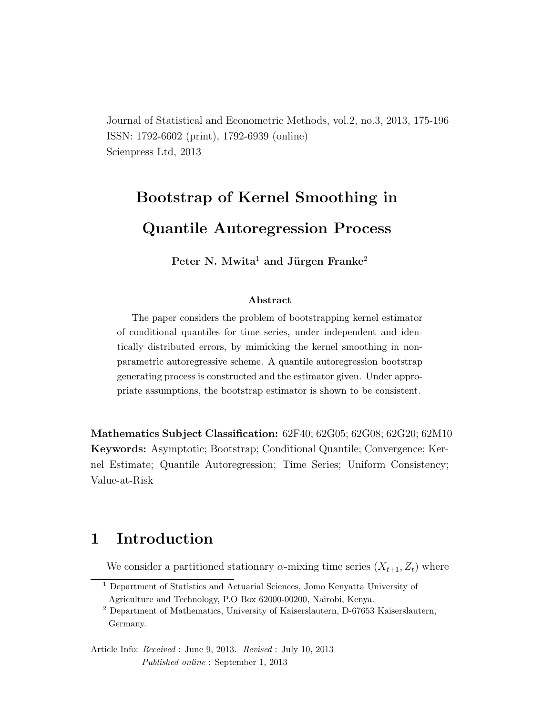Journal of Statistical and Econometric Methods, vol.2, no.3, 2013, 175-196 ISSN: 1792-6602 (print), 1792-6939 (online) Scienpress Ltd, 2013

# Bootstrap of Kernel Smoothing in Quantile Autoregression Process

Peter N. Mwita<sup>1</sup> and Jürgen Franke<sup>2</sup>

#### Abstract

The paper considers the problem of bootstrapping kernel estimator of conditional quantiles for time series, under independent and identically distributed errors, by mimicking the kernel smoothing in nonparametric autoregressive scheme. A quantile autoregression bootstrap generating process is constructed and the estimator given. Under appropriate assumptions, the bootstrap estimator is shown to be consistent.

Mathematics Subject Classification: 62F40; 62G05; 62G08; 62G20; 62M10 Keywords: Asymptotic; Bootstrap; Conditional Quantile; Convergence; Kernel Estimate; Quantile Autoregression; Time Series; Uniform Consistency; Value-at-Risk

### 1 Introduction

We consider a partitioned stationary  $\alpha$ -mixing time series  $(X_{t+1}, Z_t)$  where

Article Info: Received : June 9, 2013. Revised : July 10, 2013 Published online : September 1, 2013

<sup>1</sup> Department of Statistics and Actuarial Sciences, Jomo Kenyatta University of Agriculture and Technology, P.O Box 62000-00200, Nairobi, Kenya.

<sup>2</sup> Department of Mathematics, University of Kaiserslautern, D-67653 Kaiserslautern, Germany.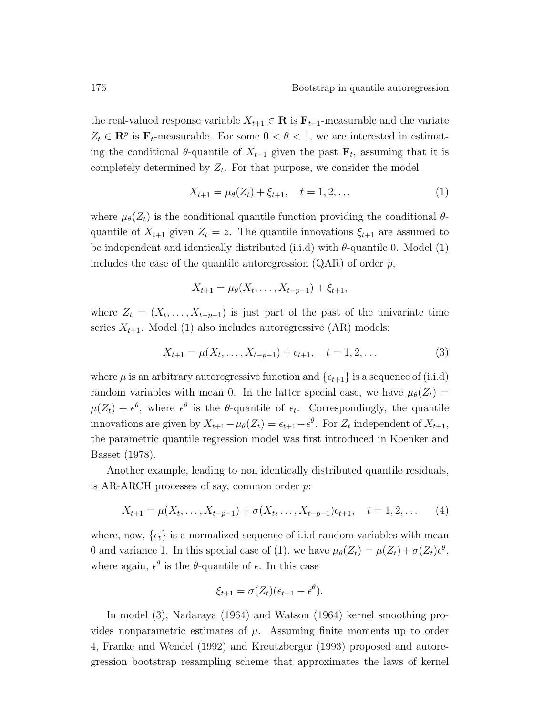the real-valued response variable  $X_{t+1} \in \mathbf{R}$  is  $\mathbf{F}_{t+1}$ -measurable and the variate  $Z_t \in \mathbb{R}^p$  is  $\mathbf{F}_t$ -measurable. For some  $0 < \theta < 1$ , we are interested in estimating the conditional  $\theta$ -quantile of  $X_{t+1}$  given the past  $\mathbf{F}_t$ , assuming that it is completely determined by  $Z_t$ . For that purpose, we consider the model

$$
X_{t+1} = \mu_{\theta}(Z_t) + \xi_{t+1}, \quad t = 1, 2, \dots \tag{1}
$$

where  $\mu_{\theta}(Z_t)$  is the conditional quantile function providing the conditional  $\theta$ quantile of  $X_{t+1}$  given  $Z_t = z$ . The quantile innovations  $\xi_{t+1}$  are assumed to be independent and identically distributed (i.i.d) with  $\theta$ -quantile 0. Model (1) includes the case of the quantile autoregression  $(QAR)$  of order p,

$$
X_{t+1} = \mu_{\theta}(X_t, \ldots, X_{t-p-1}) + \xi_{t+1},
$$

where  $Z_t = (X_t, \ldots, X_{t-p-1})$  is just part of the past of the univariate time series  $X_{t+1}$ . Model (1) also includes autoregressive (AR) models:

$$
X_{t+1} = \mu(X_t, \dots, X_{t-p-1}) + \epsilon_{t+1}, \quad t = 1, 2, \dots
$$
 (3)

where  $\mu$  is an arbitrary autoregressive function and  $\{\epsilon_{t+1}\}\$ is a sequence of (i.i.d) random variables with mean 0. In the latter special case, we have  $\mu_{\theta}(Z_t) =$  $\mu(Z_t) + \epsilon^{\theta}$ , where  $\epsilon^{\theta}$  is the  $\theta$ -quantile of  $\epsilon_t$ . Correspondingly, the quantile innovations are given by  $X_{t+1} - \mu_{\theta}(Z_t) = \epsilon_{t+1} - \epsilon^{\theta}$ . For  $Z_t$  independent of  $X_{t+1}$ , the parametric quantile regression model was first introduced in Koenker and Basset (1978).

Another example, leading to non identically distributed quantile residuals, is AR-ARCH processes of say, common order  $p$ .

$$
X_{t+1} = \mu(X_t, \dots, X_{t-p-1}) + \sigma(X_t, \dots, X_{t-p-1})\epsilon_{t+1}, \quad t = 1, 2, \dots \tag{4}
$$

where, now,  $\{\epsilon_t\}$  is a normalized sequence of i.i.d random variables with mean 0 and variance 1. In this special case of (1), we have  $\mu_{\theta}(Z_t) = \mu(Z_t) + \sigma(Z_t)\epsilon^{\theta}$ , where again,  $\epsilon^{\theta}$  is the  $\theta$ -quantile of  $\epsilon$ . In this case

$$
\xi_{t+1} = \sigma(Z_t)(\epsilon_{t+1} - \epsilon^{\theta}).
$$

In model (3), Nadaraya (1964) and Watson (1964) kernel smoothing provides nonparametric estimates of  $\mu$ . Assuming finite moments up to order 4, Franke and Wendel (1992) and Kreutzberger (1993) proposed and autoregression bootstrap resampling scheme that approximates the laws of kernel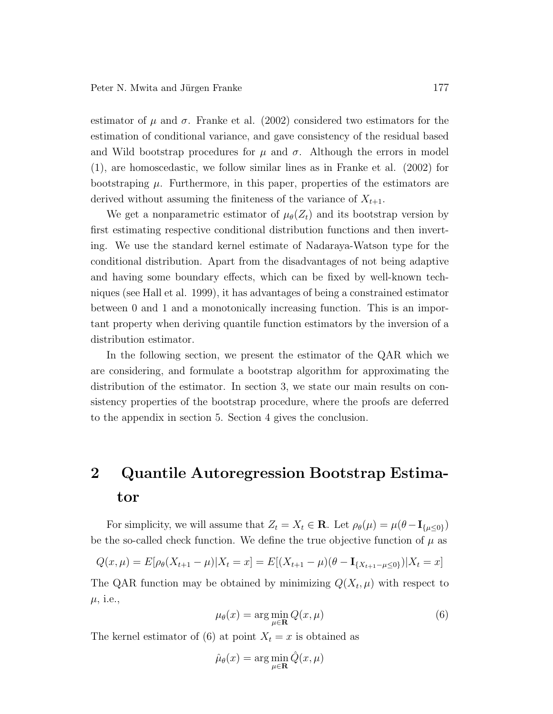estimator of  $\mu$  and  $\sigma$ . Franke et al. (2002) considered two estimators for the estimation of conditional variance, and gave consistency of the residual based and Wild bootstrap procedures for  $\mu$  and  $\sigma$ . Although the errors in model (1), are homoscedastic, we follow similar lines as in Franke et al. (2002) for bootstraping  $\mu$ . Furthermore, in this paper, properties of the estimators are derived without assuming the finiteness of the variance of  $X_{t+1}$ .

We get a nonparametric estimator of  $\mu_{\theta}(Z_t)$  and its bootstrap version by first estimating respective conditional distribution functions and then inverting. We use the standard kernel estimate of Nadaraya-Watson type for the conditional distribution. Apart from the disadvantages of not being adaptive and having some boundary effects, which can be fixed by well-known techniques (see Hall et al. 1999), it has advantages of being a constrained estimator between 0 and 1 and a monotonically increasing function. This is an important property when deriving quantile function estimators by the inversion of a distribution estimator.

In the following section, we present the estimator of the QAR which we are considering, and formulate a bootstrap algorithm for approximating the distribution of the estimator. In section 3, we state our main results on consistency properties of the bootstrap procedure, where the proofs are deferred to the appendix in section 5. Section 4 gives the conclusion.

## 2 Quantile Autoregression Bootstrap Estimator

For simplicity, we will assume that  $Z_t = X_t \in \mathbf{R}$ . Let  $\rho_\theta(\mu) = \mu(\theta - \mathbf{I}_{\{\mu \leq 0\}})$ be the so-called check function. We define the true objective function of  $\mu$  as

$$
Q(x,\mu) = E[\rho_{\theta}(X_{t+1} - \mu)|X_t = x] = E[(X_{t+1} - \mu)(\theta - \mathbf{I}_{\{X_{t+1} - \mu \le 0\}})|X_t = x]
$$

The QAR function may be obtained by minimizing  $Q(X_t, \mu)$  with respect to  $\mu$ , i.e.,

$$
\mu_{\theta}(x) = \arg\min_{\mu \in \mathbf{R}} Q(x, \mu) \tag{6}
$$

The kernel estimator of (6) at point  $X_t = x$  is obtained as

$$
\hat{\mu}_{\theta}(x) = \arg\min_{\mu \in \mathbf{R}} \hat{Q}(x, \mu)
$$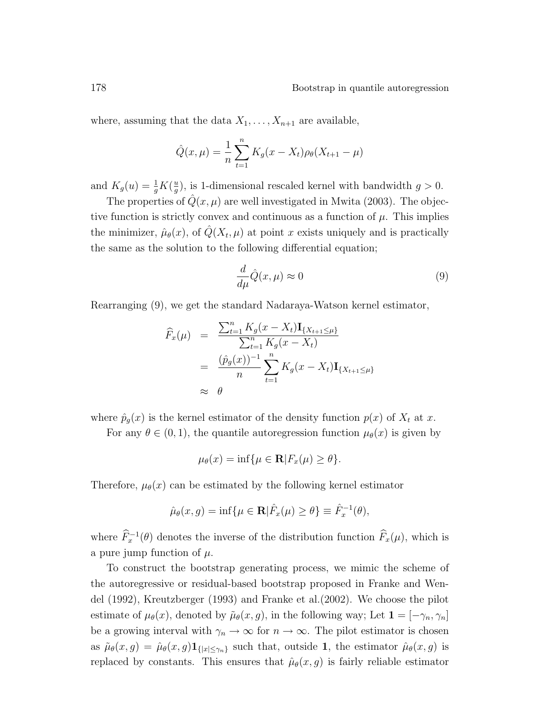where, assuming that the data  $X_1, \ldots, X_{n+1}$  are available,

$$
\hat{Q}(x,\mu) = \frac{1}{n} \sum_{t=1}^{n} K_g(x - X_t) \rho_{\theta}(X_{t+1} - \mu)
$$

and  $K_g(u) = \frac{1}{g}K(\frac{u}{g})$  $\frac{u}{g}$ , is 1-dimensional rescaled kernel with bandwidth  $g > 0$ .

The properties of  $Q(x, \mu)$  are well investigated in Mwita (2003). The objective function is strictly convex and continuous as a function of  $\mu$ . This implies the minimizer,  $\hat{\mu}_{\theta}(x)$ , of  $\hat{Q}(X_t, \mu)$  at point x exists uniquely and is practically the same as the solution to the following differential equation;

$$
\frac{d}{d\mu}\hat{Q}(x,\mu) \approx 0\tag{9}
$$

Rearranging (9), we get the standard Nadaraya-Watson kernel estimator,

$$
\widehat{F}_x(\mu) = \frac{\sum_{t=1}^n K_g(x - X_t) \mathbf{I}_{\{X_{t+1} \le \mu\}}}{\sum_{t=1}^n K_g(x - X_t)} \\
= \frac{(\widehat{p}_g(x))^{-1}}{n} \sum_{t=1}^n K_g(x - X_t) \mathbf{I}_{\{X_{t+1} \le \mu\}} \\
\approx \theta
$$

where  $\hat{p}_g(x)$  is the kernel estimator of the density function  $p(x)$  of  $X_t$  at x.

For any  $\theta \in (0,1)$ , the quantile autoregression function  $\mu_{\theta}(x)$  is given by

$$
\mu_{\theta}(x) = \inf \{ \mu \in \mathbf{R} | F_x(\mu) \ge \theta \}.
$$

Therefore,  $\mu_{\theta}(x)$  can be estimated by the following kernel estimator

$$
\hat{\mu}_{\theta}(x,g) = \inf \{ \mu \in \mathbf{R} | \hat{F}_x(\mu) \ge \theta \} \equiv \hat{F}_x^{-1}(\theta),
$$

where  $\widehat{F}_x^{-1}(\theta)$  denotes the inverse of the distribution function  $\widehat{F}_x(\mu)$ , which is a pure jump function of  $\mu$ .

To construct the bootstrap generating process, we mimic the scheme of the autoregressive or residual-based bootstrap proposed in Franke and Wendel (1992), Kreutzberger (1993) and Franke et al.(2002). We choose the pilot estimate of  $\mu_{\theta}(x)$ , denoted by  $\tilde{\mu}_{\theta}(x, g)$ , in the following way; Let  $\mathbf{1} = [-\gamma_n, \gamma_n]$ be a growing interval with  $\gamma_n \to \infty$  for  $n \to \infty$ . The pilot estimator is chosen as  $\tilde{\mu}_{\theta}(x, g) = \hat{\mu}_{\theta}(x, g) \mathbf{1}_{\{|x| \leq \gamma_n\}}$  such that, outside 1, the estimator  $\hat{\mu}_{\theta}(x, g)$  is replaced by constants. This ensures that  $\hat{\mu}_{\theta}(x, g)$  is fairly reliable estimator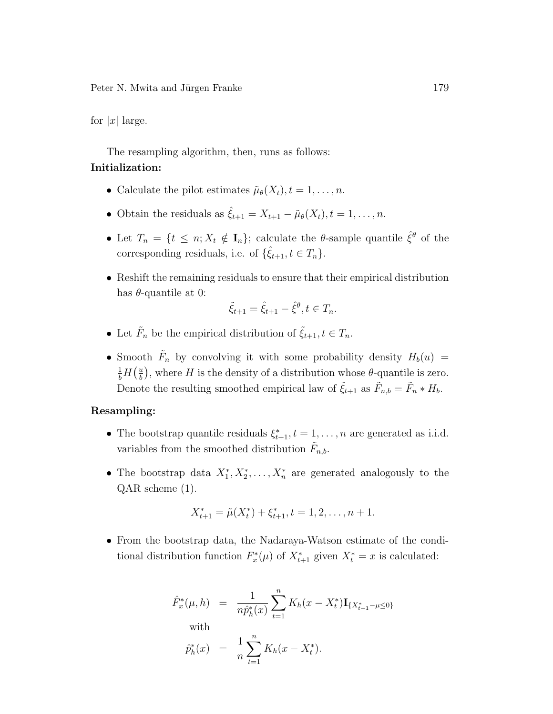for  $|x|$  large.

The resampling algorithm, then, runs as follows:

#### Initialization:

- Calculate the pilot estimates  $\tilde{\mu}_{\theta}(X_t), t = 1, \ldots, n$ .
- Obtain the residuals as  $\hat{\xi}_{t+1} = X_{t+1} \tilde{\mu}_{\theta}(X_t), t = 1, \ldots, n$ .
- Let  $T_n = \{t \leq n; X_t \notin I_n\}$ ; calculate the  $\theta$ -sample quantile  $\hat{\xi}^{\theta}$  of the corresponding residuals, i.e. of  $\{\hat{\xi}_{t+1}, t \in T_n\}.$
- Reshift the remaining residuals to ensure that their empirical distribution has  $\theta$ -quantile at 0:

$$
\tilde{\xi}_{t+1} = \hat{\xi}_{t+1} - \hat{\xi}^{\theta}, t \in T_n.
$$

- Let  $\tilde{F}_n$  be the empirical distribution of  $\tilde{\xi}_{t+1}, t \in T_n$ .
- Smooth  $\tilde{F}_n$  by convolving it with some probability density  $H_b(u) =$  $\frac{1}{b}H\left(\frac{u}{b}\right)$  $\frac{u}{b}$ , where H is the density of a distribution whose  $\theta$ -quantile is zero. Denote the resulting smoothed empirical law of  $\tilde{\xi}_{t+1}$  as  $\tilde{F}_{n,b} = \tilde{F}_n * H_b$ .

#### Resampling:

- The bootstrap quantile residuals  $\xi_{t+1}^*, t = 1, \ldots, n$  are generated as i.i.d. variables from the smoothed distribution  $\tilde{F}_{n,b}$ .
- The bootstrap data  $X_1^*, X_2^*, \ldots, X_n^*$  are generated analogously to the QAR scheme (1).

$$
X_{t+1}^* = \tilde{\mu}(X_t^*) + \xi_{t+1}^*, t = 1, 2, \dots, n+1.
$$

• From the bootstrap data, the Nadaraya-Watson estimate of the conditional distribution function  $F_x^*(\mu)$  of  $X_{t+1}^*$  given  $X_t^* = x$  is calculated:

$$
\hat{F}_x^*(\mu, h) = \frac{1}{n \hat{p}_h^*(x)} \sum_{t=1}^n K_h(x - X_t^*) \mathbf{I}_{\{X_{t+1}^* - \mu \le 0\}}
$$
\nwith\n
$$
\hat{p}_h^*(x) = \frac{1}{n} \sum_{t=1}^n K_h(x - X_t^*).
$$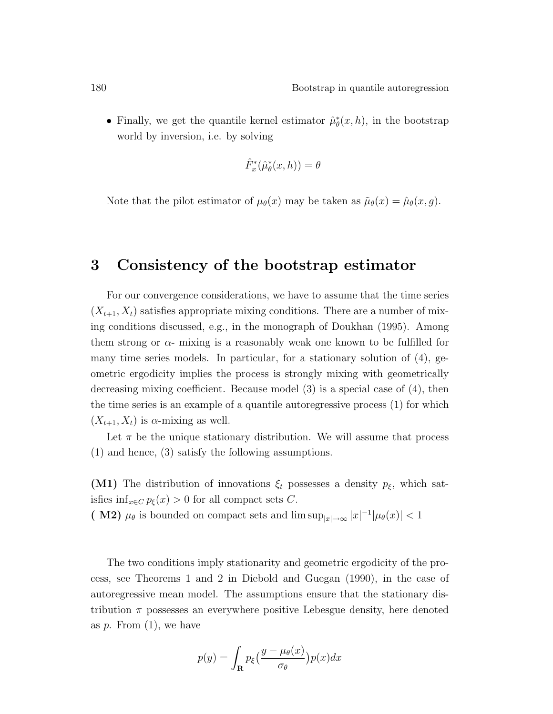• Finally, we get the quantile kernel estimator  $\hat{\mu}_{\theta}^*(x, h)$ , in the bootstrap world by inversion, i.e. by solving

$$
\hat{F}_x^*(\hat{\mu}_\theta^*(x,h)) = \theta
$$

Note that the pilot estimator of  $\mu_{\theta}(x)$  may be taken as  $\tilde{\mu}_{\theta}(x) = \hat{\mu}_{\theta}(x, g)$ .

### 3 Consistency of the bootstrap estimator

For our convergence considerations, we have to assume that the time series  $(X_{t+1}, X_t)$  satisfies appropriate mixing conditions. There are a number of mixing conditions discussed, e.g., in the monograph of Doukhan (1995). Among them strong or  $\alpha$ - mixing is a reasonably weak one known to be fulfilled for many time series models. In particular, for a stationary solution of  $(4)$ , geometric ergodicity implies the process is strongly mixing with geometrically decreasing mixing coefficient. Because model (3) is a special case of (4), then the time series is an example of a quantile autoregressive process (1) for which  $(X_{t+1}, X_t)$  is  $\alpha$ -mixing as well.

Let  $\pi$  be the unique stationary distribution. We will assume that process (1) and hence, (3) satisfy the following assumptions.

(M1) The distribution of innovations  $\xi_t$  possesses a density  $p_{\xi}$ , which satisfies inf<sub> $x \in C$ </sub>  $p_{\xi}(x) > 0$  for all compact sets C.

(M2)  $\mu_{\theta}$  is bounded on compact sets and  $\limsup_{|x| \to \infty} |x|^{-1} |\mu_{\theta}(x)| < 1$ 

The two conditions imply stationarity and geometric ergodicity of the process, see Theorems 1 and 2 in Diebold and Guegan (1990), in the case of autoregressive mean model. The assumptions ensure that the stationary distribution  $\pi$  possesses an everywhere positive Lebesgue density, here denoted as  $p$ . From  $(1)$ , we have

$$
p(y) = \int_{\mathbf{R}} p_{\xi} \left( \frac{y - \mu_{\theta}(x)}{\sigma_{\theta}} \right) p(x) dx
$$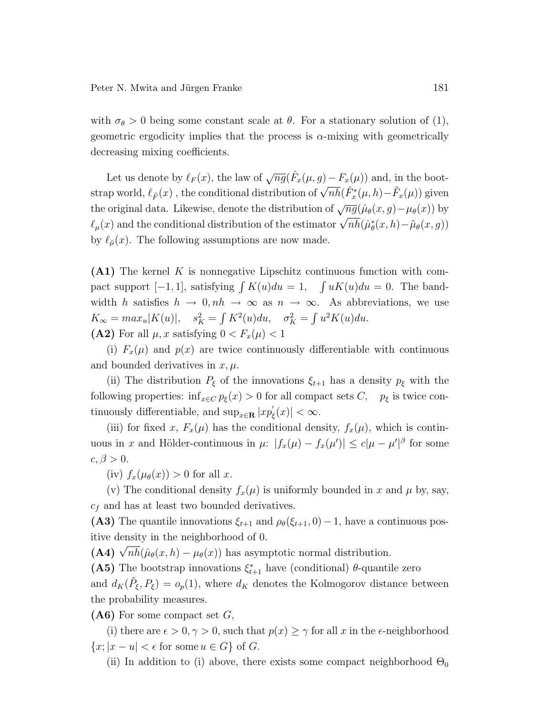with  $\sigma_{\theta} > 0$  being some constant scale at  $\theta$ . For a stationary solution of (1), geometric ergodicity implies that the process is  $\alpha$ -mixing with geometrically decreasing mixing coefficients.

Let us denote by  $\ell_F(x)$ , the law of  $\sqrt{ng}(\hat{F}_x(\mu, g) - F_x(\mu))$  and, in the bootstrap world,  $\ell_{\tilde{F}}(x)$ , the conditional distribution of  $\sqrt{nh}(\hat{F}_x^*(\mu, h) - \tilde{F}_x(\mu))$  given the original data. Likewise, denote the distribution of  $\sqrt{ng}(\hat{\mu}_{\theta}(x, g) - \mu_{\theta}(x))$  by the original data. Einewise, denote the distribution of  $\sqrt{ng}(\mu_\theta(x, y) - \mu_\theta(x))$  by  $\ell_\mu(x)$  and the conditional distribution of the estimator  $\sqrt{nh}(\hat{\mu}^*_\theta(x, h) - \tilde{\mu}_\theta(x, g))$ by  $\ell_{\tilde{\mu}}(x)$ . The following assumptions are now made.

(A1) The kernel K is nonnegative Lipschitz continuous function with compact support  $[-1, 1]$ , satisfying  $\int K(u)du = 1$ ,  $\int uK(u)du = 0$ . The bandwidth h satisfies  $h \to 0$ ,  $nh \to \infty$  as  $n \to \infty$ . As abbreviations, we use  $K_{\infty} = max_u |K(u)|, \quad s_K^2 =$  $\frac{1}{2}$  $K^2(u)du$ ,  $\sigma_K^2 =$  $\tilde{\phantom{a}}$  $u^2K(u)du$ . (A2) For all  $\mu$ , x satisfying  $0 < F_x(\mu) < 1$ 

(i)  $F_x(\mu)$  and  $p(x)$  are twice continuously differentiable with continuous and bounded derivatives in  $x, \mu$ .

(ii) The distribution  $P_{\xi}$  of the innovations  $\xi_{t+1}$  has a density  $p_{\xi}$  with the following properties:  $\inf_{x \in C} p_{\xi}(x) > 0$  for all compact sets C,  $p_{\xi}$  is twice continuously differentiable, and  $\sup_{x \in \mathbf{R}} |xp'_g$  $\vert_{\xi}(x)\vert < \infty.$ 

(iii) for fixed x,  $F_x(\mu)$  has the conditional density,  $f_x(\mu)$ , which is continuous in x and Hölder-continuous in  $\mu$ :  $|f_x(\mu) - f_x(\mu')| \leq c|\mu - \mu'|^{\beta}$  for some  $c, \beta > 0.$ 

(iv)  $f_x(\mu_\theta(x)) > 0$  for all x.

(v) The conditional density  $f_x(\mu)$  is uniformly bounded in x and  $\mu$  by, say,  $c_f$  and has at least two bounded derivatives.

(A3) The quantile innovations  $\xi_{t+1}$  and  $\rho_{\theta}(\xi_{t+1}, 0) - 1$ , have a continuous positive density in the neighborhood of 0.

(A4)  $\sqrt{nh}(\hat{\mu}_{\theta}(x, h) - \mu_{\theta}(x))$  has asymptotic normal distribution.

(A5) The bootstrap innovations  $\xi_{t+1}^*$  have (conditional)  $\theta$ -quantile zero and  $d_K(\tilde{P}_{\xi}, P_{\xi}) = o_p(1)$ , where  $d_K$  denotes the Kolmogorov distance between the probability measures.

 $(A6)$  For some compact set G,

(i) there are  $\epsilon > 0$ ,  $\gamma > 0$ , such that  $p(x) \geq \gamma$  for all x in the  $\epsilon$ -neighborhood  $\{x; |x-u| < \epsilon \text{ for some } u \in G\}$  of G.

(ii) In addition to (i) above, there exists some compact neighborhood  $\Theta_0$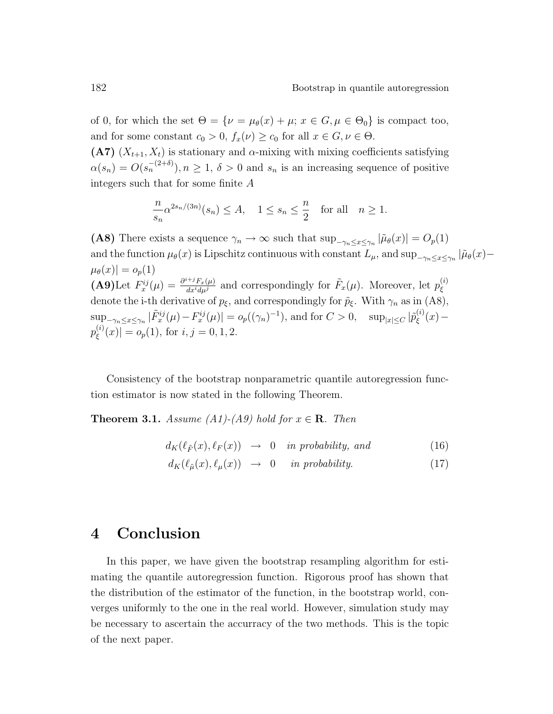of 0, for which the set  $\Theta = {\nu = \mu_{\theta}(x) + \mu; x \in G, \mu \in \Theta_0}$  is compact too, and for some constant  $c_0 > 0$ ,  $f_x(\nu) \ge c_0$  for all  $x \in G, \nu \in \Theta$ .

(A7)  $(X_{t+1}, X_t)$  is stationary and  $\alpha$ -mixing with mixing coefficients satisfying  $\alpha(s_n) = O(s_n^{-(2+\delta)}), n \ge 1, \delta > 0$  and  $s_n$  is an increasing sequence of positive integers such that for some finite A

$$
\frac{n}{s_n} \alpha^{2s_n/(3n)}(s_n) \le A, \quad 1 \le s_n \le \frac{n}{2} \quad \text{for all} \quad n \ge 1.
$$

(A8) There exists a sequence  $\gamma_n \to \infty$  such that  $\sup_{-\gamma_n \leq x \leq \gamma_n} |\tilde{\mu}_{\theta}(x)| = O_p(1)$ and the function  $\mu_{\theta}(x)$  is Lipschitz continuous with constant  $L_{\mu}$ , and sup<sub> $-\gamma_n \leq x \leq \gamma_n$ </sub>  $|\tilde{\mu}_{\theta}(x) |\mu_{\theta}(x)| = o_p(1)$ (A9)Let  $F_x^{ij}(\mu) = \frac{\partial^{i+j} F_x(\mu)}{\partial x^i d\mu^j}$  and correspondingly for  $\tilde{F}_x(\mu)$ . Moreover, let  $p_\xi^{(i)}$ ξ denote the i-th derivative of  $p_{\xi}$ , and correspondingly for  $\tilde{p}_{\xi}$ . With  $\gamma_n$  as in (A8),  $\sup_{-\gamma_n \leq x \leq \gamma_n} |\tilde{F}_x^{ij}(\mu) - F_x^{ij}(\mu)| = o_p((\gamma_n)^{-1}),$  and for  $C > 0$ ,  $\sup_{|x| \leq C} |\tilde{p}_{\xi}^{(i)}|$  $\zeta^{(i)}(x)$   $p^{(i)}_\varepsilon$  $\zeta^{(i)}(x)$  =  $o_p(1)$ , for  $i, j = 0, 1, 2$ .

Consistency of the bootstrap nonparametric quantile autoregression function estimator is now stated in the following Theorem.

**Theorem 3.1.** Assume (A1)-(A9) hold for  $x \in \mathbb{R}$ . Then

$$
d_K(\ell_{\tilde{F}}(x), \ell_F(x)) \rightarrow 0 \quad in \ probability, \ and \tag{16}
$$

$$
d_K(\ell_{\tilde{\mu}}(x), \ell_{\mu}(x)) \rightarrow 0 \quad in \ probability. \tag{17}
$$

### 4 Conclusion

In this paper, we have given the bootstrap resampling algorithm for estimating the quantile autoregression function. Rigorous proof has shown that the distribution of the estimator of the function, in the bootstrap world, converges uniformly to the one in the real world. However, simulation study may be necessary to ascertain the accurracy of the two methods. This is the topic of the next paper.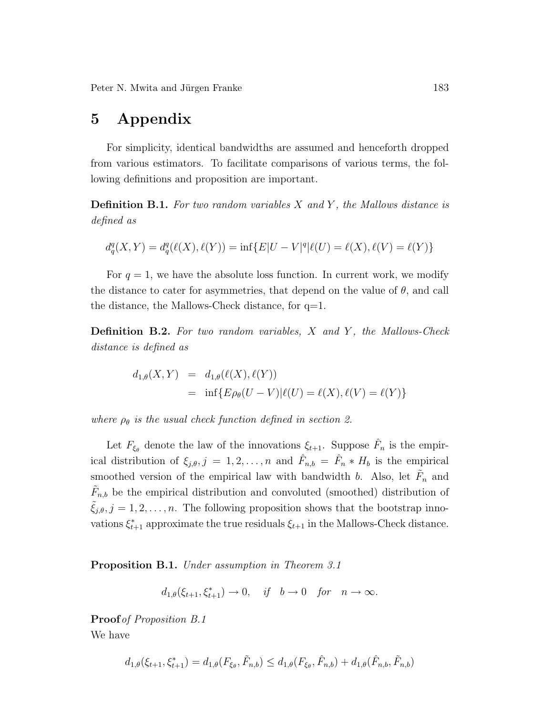### 5 Appendix

For simplicity, identical bandwidths are assumed and henceforth dropped from various estimators. To facilitate comparisons of various terms, the following definitions and proposition are important.

**Definition B.1.** For two random variables  $X$  and  $Y$ , the Mallows distance is defined as

$$
d_q^q(X,Y) = d_q^q(\ell(X), \ell(Y)) = \inf \{ E |U - V|^q | \ell(U) = \ell(X), \ell(V) = \ell(Y) \}
$$

For  $q = 1$ , we have the absolute loss function. In current work, we modify the distance to cater for asymmetries, that depend on the value of  $\theta$ , and call the distance, the Mallows-Check distance, for q=1.

**Definition B.2.** For two random variables, X and Y, the Mallows-Check distance is defined as

$$
d_{1,\theta}(X,Y) = d_{1,\theta}(\ell(X), \ell(Y))
$$
  
= inf{ $E \rho_{\theta}(U - V) | \ell(U) = \ell(X), \ell(V) = \ell(Y)$ }

where  $\rho_{\theta}$  is the usual check function defined in section 2.

Let  $F_{\xi_{\theta}}$  denote the law of the innovations  $\xi_{t+1}$ . Suppose  $\hat{F}_n$  is the empirical distribution of  $\xi_{j,\theta}, j = 1, 2, ..., n$  and  $\hat{F}_{n,b} = \hat{F}_n * H_b$  is the empirical smoothed version of the empirical law with bandwidth b. Also, let  $\tilde{F}_n$  and  $\tilde{F}_{n,b}$  be the empirical distribution and convoluted (smoothed) distribution of  $\xi_{j,\theta}, j = 1, 2, \ldots, n$ . The following proposition shows that the bootstrap innovations  $\xi_{t+1}^*$  approximate the true residuals  $\xi_{t+1}$  in the Mallows-Check distance.

Proposition B.1. Under assumption in Theorem 3.1

$$
d_{1,\theta}(\xi_{t+1}, \xi_{t+1}^*) \to 0
$$
, if  $b \to 0$  for  $n \to \infty$ .

Proof of Proposition B.1 We have

$$
d_{1,\theta}(\xi_{t+1}, \xi_{t+1}^*) = d_{1,\theta}(F_{\xi_{\theta}}, \tilde{F}_{n,b}) \leq d_{1,\theta}(F_{\xi_{\theta}}, \hat{F}_{n,b}) + d_{1,\theta}(\hat{F}_{n,b}, \tilde{F}_{n,b})
$$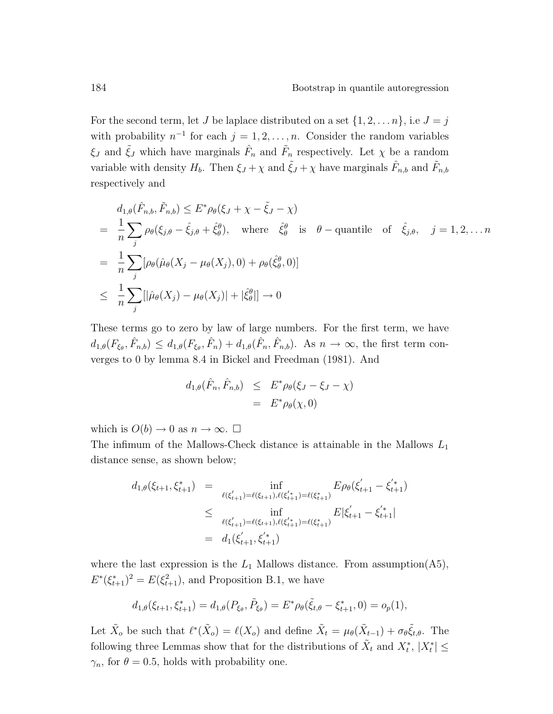For the second term, let J be laplace distributed on a set  $\{1, 2, ..., n\}$ , i.e  $J = j$ with probability  $n^{-1}$  for each  $j = 1, 2, ..., n$ . Consider the random variables  $\xi_J$  and  $\tilde{\xi}_J$  which have marginals  $\hat{F}_n$  and  $\tilde{F}_n$  respectively. Let  $\chi$  be a random variable with density  $H_b$ . Then  $\xi_j + \chi$  and  $\tilde{\xi}_j + \chi$  have marginals  $\hat{F}_{n,b}$  and  $\tilde{F}_{n,b}$ respectively and

$$
d_{1,\theta}(\hat{F}_{n,b}, \tilde{F}_{n,b}) \leq E^* \rho_{\theta}(\xi_J + \chi - \tilde{\xi}_J - \chi)
$$
  
=  $\frac{1}{n} \sum_j \rho_{\theta}(\xi_{j,\theta} - \hat{\xi}_{j,\theta} + \hat{\xi}_{\theta}^{\theta}),$  where  $\hat{\xi}_{\theta}^{\theta}$  is  $\theta$  – quantile of  $\hat{\xi}_{j,\theta}, j = 1, 2, ... n$   
=  $\frac{1}{n} \sum_j [\rho_{\theta}(\hat{\mu}_{\theta}(X_j - \mu_{\theta}(X_j), 0) + \rho_{\theta}(\hat{\xi}_{\theta}^{\theta}, 0)]$   
 $\leq \frac{1}{n} \sum_j [|\hat{\mu}_{\theta}(X_j) - \mu_{\theta}(X_j)| + |\hat{\xi}_{\theta}^{\theta}|] \to 0$ 

These terms go to zero by law of large numbers. For the first term, we have  $d_{1,\theta}(F_{\xi_{\theta}},\hat{F}_{n,b}) \leq d_{1,\theta}(F_{\xi_{\theta}},\hat{F}_n) + d_{1,\theta}(\hat{F}_n,\hat{F}_{n,b}).$  As  $n \to \infty$ , the first term converges to 0 by lemma 8.4 in Bickel and Freedman (1981). And

$$
d_{1,\theta}(\hat{F}_n, \hat{F}_{n,b}) \leq E^* \rho_{\theta}(\xi_J - \xi_J - \chi)
$$
  
= 
$$
E^* \rho_{\theta}(\chi, 0)
$$

which is  $O(b) \to 0$  as  $n \to \infty$ .  $\square$ 

The infimum of the Mallows-Check distance is attainable in the Mallows  ${\cal L}_1$ distance sense, as shown below;

$$
d_{1,\theta}(\xi_{t+1}, \xi_{t+1}^*) = \inf_{\ell(\xi_{t+1}') = \ell(\xi_{t+1}), \ell(\xi_{t+1}') = \ell(\xi_{t+1}^*)} E \rho_{\theta}(\xi_{t+1}' - \xi_{t+1}'^*)
$$
  
\n
$$
\leq \inf_{\ell(\xi_{t+1}') = \ell(\xi_{t+1}), \ell(\xi_{t+1}') = \ell(\xi_{t+1}^*)} E |\xi_{t+1}' - \xi_{t+1}'^*|
$$
  
\n
$$
= d_1(\xi_{t+1}', \xi_{t+1}^*)
$$

where the last expression is the  $L_1$  Mallows distance. From assumption(A5),  $E^*(\xi_{t+1}^*)^2 = E(\xi_{t+1}^2)$ , and Proposition B.1, we have

$$
d_{1,\theta}(\xi_{t+1},\xi_{t+1}^*) = d_{1,\theta}(P_{\xi_{\theta}},\tilde{P}_{\xi_{\theta}}) = E^* \rho_{\theta}(\tilde{\xi}_{t,\theta} - \xi_{t+1}^*,0) = o_p(1),
$$

Let  $\tilde{X}_o$  be such that  $\ell^*(\tilde{X}_o) = \ell(X_o)$  and define  $\tilde{X}_t = \mu_\theta(\tilde{X}_{t-1}) + \sigma_\theta \tilde{\xi}_{t,\theta}$ . The following three Lemmas show that for the distributions of  $\tilde{X}_t$  and  $X_t^*$ ,  $|X_t^*| \leq$  $\gamma_n$ , for  $\theta = 0.5$ , holds with probability one.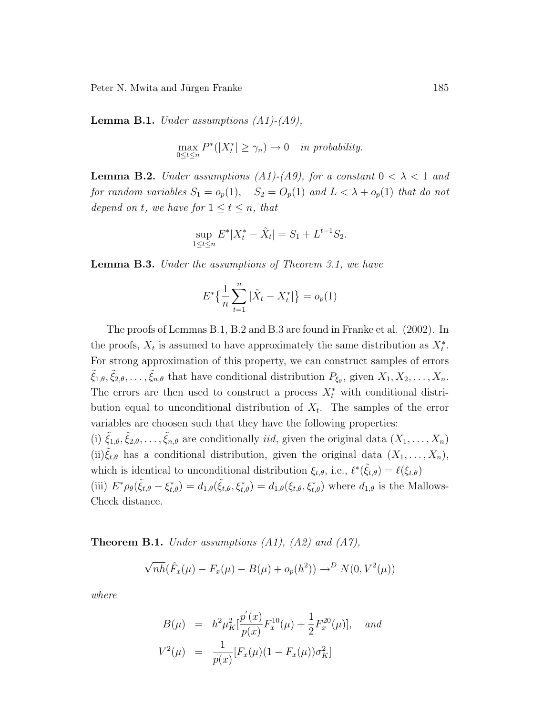**Lemma B.1.** Under assumptions  $(A1)$ - $(A9)$ ,

$$
\max_{0 \le t \le n} P^*(|X_t^*| \ge \gamma_n) \to 0 \quad in \ probability.
$$

**Lemma B.2.** Under assumptions (A1)-(A9), for a constant  $0 < \lambda < 1$  and for random variables  $S_1 = o_p(1)$ ,  $S_2 = O_p(1)$  and  $L < \lambda + o_p(1)$  that do not depend on t, we have for  $1 \le t \le n$ , that

$$
\sup_{1 \le t \le n} E^* |X_t^* - \tilde{X}_t| = S_1 + L^{t-1} S_2.
$$

**Lemma B.3.** Under the assumptions of Theorem 3.1, we have

$$
E^* \left\{ \frac{1}{n} \sum_{t=1}^n |\tilde{X}_t - X_t^*| \right\} = o_p(1)
$$

The proofs of Lemmas B.1, B.2 and B.3 are found in Franke et al. (2002). In the proofs,  $X_t$  is assumed to have approximately the same distribution as  $X_t^*$ . For strong approximation of this property, we can construct samples of errors  $\tilde{\xi}_{1,\theta}, \tilde{\xi}_{2,\theta}, \ldots, \tilde{\xi}_{n,\theta}$  that have conditional distribution  $P_{\xi_{\theta}},$  given  $X_1, X_2, \ldots, X_n$ . The errors are then used to construct a process  $X_t^*$  with conditional distribution equal to unconditional distribution of  $X_t$ . The samples of the error variables are choosen such that they have the following properties: (i)  $\tilde{\xi}_{1,\theta}, \tilde{\xi}_{2,\theta}, \ldots, \tilde{\xi}_{n,\theta}$  are conditionally *iid*, given the original data  $(X_1, \ldots, X_n)$ (ii) $\xi_{t,\theta}$  has a conditional distribution, given the original data  $(X_1, \ldots, X_n)$ , which is identical to unconditional distribution  $\xi_{t,\theta}$ , i.e.,  $\ell^*(\tilde{\xi}_{t,\theta}) = \ell(\xi_{t,\theta})$ 

(iii)  $E^*\rho_{\theta}(\tilde{\xi}_{t,\theta} - \xi_{t,\theta}^*) = d_{1,\theta}(\tilde{\xi}_{t,\theta},\xi_{t,\theta}^*) = d_{1,\theta}(\xi_{t,\theta},\xi_{t,\theta}^*)$  where  $d_{1,\theta}$  is the Mallows-Check distance.

**Theorem B.1.** Under assumptions  $(A1)$ ,  $(A2)$  and  $(A7)$ ,

$$
\sqrt{nh}(\hat{F}_x(\mu) - F_x(\mu) - B(\mu) + o_p(h^2)) \to^D N(0, V^2(\mu))
$$

where

$$
B(\mu) = h^2 \mu_K^2 \left[ \frac{p'(x)}{p(x)} F_x^{10}(\mu) + \frac{1}{2} F_x^{20}(\mu) \right], \text{ and}
$$
  

$$
V^2(\mu) = \frac{1}{p(x)} \left[ F_x(\mu)(1 - F_x(\mu)) \sigma_K^2 \right]
$$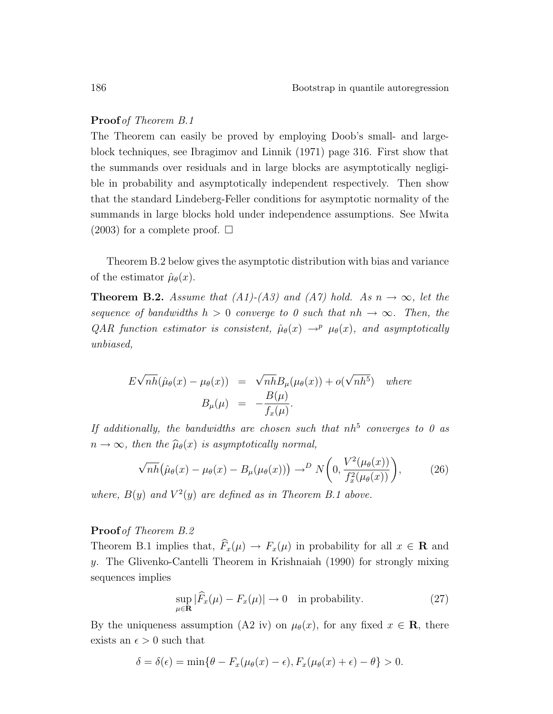#### Proof of Theorem B.1

The Theorem can easily be proved by employing Doob's small- and largeblock techniques, see Ibragimov and Linnik (1971) page 316. First show that the summands over residuals and in large blocks are asymptotically negligible in probability and asymptotically independent respectively. Then show that the standard Lindeberg-Feller conditions for asymptotic normality of the summands in large blocks hold under independence assumptions. See Mwita  $(2003)$  for a complete proof.  $\square$ 

Theorem B.2 below gives the asymptotic distribution with bias and variance of the estimator  $\hat{\mu}_{\theta}(x)$ .

**Theorem B.2.** Assume that (A1)-(A3) and (A7) hold. As  $n \to \infty$ , let the sequence of bandwidths  $h > 0$  converge to 0 such that  $nh \to \infty$ . Then, the QAR function estimator is consistent,  $\hat{\mu}_{\theta}(x) \rightarrow^{p} \mu_{\theta}(x)$ , and asymptotically unbiased,

$$
E\sqrt{nh}(\hat{\mu}_{\theta}(x) - \mu_{\theta}(x)) = \sqrt{nh}B_{\mu}(\mu_{\theta}(x)) + o(\sqrt{nh^{5}}) \quad where
$$
  

$$
B_{\mu}(\mu) = -\frac{B(\mu)}{f_{x}(\mu)}.
$$

If additionally, the bandwidths are chosen such that  $nh^5$  converges to 0 as  $n \to \infty$ , then the  $\widehat{\mu}_{\theta}(x)$  is asymptotically normal,

$$
\sqrt{nh} \left( \hat{\mu}_{\theta}(x) - \mu_{\theta}(x) - B_{\mu}(\mu_{\theta}(x)) \right) \to^{D} N \left( 0, \frac{V^{2}(\mu_{\theta}(x))}{f_{x}^{2}(\mu_{\theta}(x))} \right), \tag{26}
$$

where,  $B(y)$  and  $V^2(y)$  are defined as in Theorem B.1 above.

#### Proof of Theorem B.2

Theorem B.1 implies that,  $\widehat{F}_x(\mu) \to F_x(\mu)$  in probability for all  $x \in \mathbf{R}$  and y. The Glivenko-Cantelli Theorem in Krishnaiah (1990) for strongly mixing sequences implies

$$
\sup_{\mu \in \mathbf{R}} |\widehat{F}_x(\mu) - F_x(\mu)| \to 0 \quad \text{in probability.} \tag{27}
$$

By the uniqueness assumption (A2 iv) on  $\mu_{\theta}(x)$ , for any fixed  $x \in \mathbf{R}$ , there exists an  $\epsilon > 0$  such that

$$
\delta = \delta(\epsilon) = \min\{\theta - F_x(\mu_\theta(x) - \epsilon), F_x(\mu_\theta(x) + \epsilon) - \theta\} > 0.
$$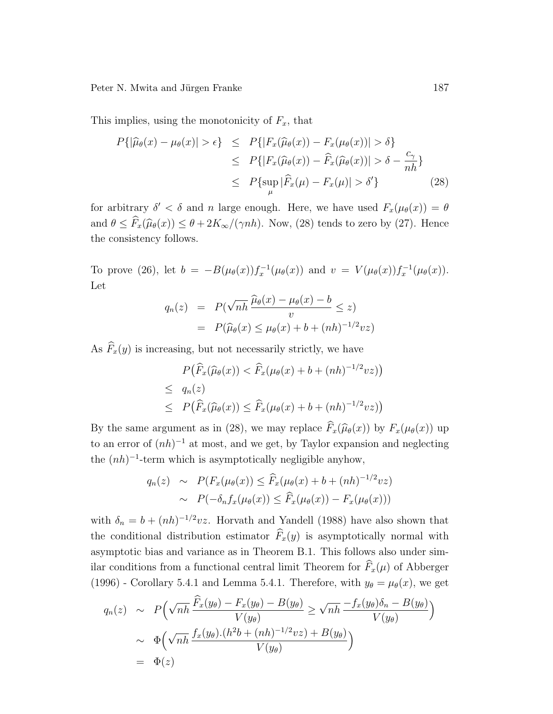This implies, using the monotonicity of  $F_x$ , that

$$
P\{|\widehat{\mu}_{\theta}(x) - \mu_{\theta}(x)| > \epsilon\} \leq P\{|F_x(\widehat{\mu}_{\theta}(x)) - F_x(\mu_{\theta}(x))| > \delta\}
$$
  
\n
$$
\leq P\{|F_x(\widehat{\mu}_{\theta}(x)) - \widehat{F}_x(\widehat{\mu}_{\theta}(x))| > \delta - \frac{c_{\gamma}}{nh}\}
$$
  
\n
$$
\leq P\{\sup_{\mu} |\widehat{F}_x(\mu) - F_x(\mu)| > \delta'\}
$$
 (28)

for arbitrary  $\delta' < \delta$  and n large enough. Here, we have used  $F_x(\mu_\theta(x)) = \theta$ and  $\theta \leq \widehat{F}_x(\widehat{\mu}_{\theta}(x)) \leq \theta + 2K_{\infty}/(\gamma nh)$ . Now, (28) tends to zero by (27). Hence the consistency follows.

To prove (26), let  $b = -B(\mu_{\theta}(x))f_x^{-1}(\mu_{\theta}(x))$  and  $v = V(\mu_{\theta}(x))f_x^{-1}(\mu_{\theta}(x))$ . Let

$$
q_n(z) = P(\sqrt{nh} \frac{\widehat{\mu}_{\theta}(x) - \mu_{\theta}(x) - b}{v} \le z)
$$
  
=  $P(\widehat{\mu}_{\theta}(x) \le \mu_{\theta}(x) + b + (nh)^{-1/2}vz)$ 

As  $\widehat{F}_x(y)$  is increasing, but not necessarily strictly, we have

$$
P(\widehat{F}_x(\widehat{\mu}_{\theta}(x)) < \widehat{F}_x(\mu_{\theta}(x) + b + (nh)^{-1/2}vz))
$$
\n
$$
\leq q_n(z)
$$
\n
$$
\leq P(\widehat{F}_x(\widehat{\mu}_{\theta}(x)) \leq \widehat{F}_x(\mu_{\theta}(x) + b + (nh)^{-1/2}vz))
$$

By the same argument as in (28), we may replace  $\widehat{F}_x(\widehat{\mu}_{\theta}(x))$  by  $F_x(\mu_{\theta}(x))$  up to an error of  $(nh)^{-1}$  at most, and we get, by Taylor expansion and neglecting the  $(nh)^{-1}$ -term which is asymptotically negligible anyhow,

$$
q_n(z) \sim P(F_x(\mu_\theta(x)) \le \widehat{F}_x(\mu_\theta(x) + b + (nh)^{-1/2}vz)
$$
  
 
$$
\sim P(-\delta_n f_x(\mu_\theta(x)) \le \widehat{F}_x(\mu_\theta(x)) - F_x(\mu_\theta(x)))
$$

with  $\delta_n = b + (nh)^{-1/2}vz$ . Horvath and Yandell (1988) have also shown that the conditional distribution estimator  $\widehat{F}_x(y)$  is asymptotically normal with asymptotic bias and variance as in Theorem B.1. This follows also under similar conditions from a functional central limit Theorem for  $\widehat{F}_x(\mu)$  of Abberger (1996) - Corollary 5.4.1 and Lemma 5.4.1. Therefore, with  $y_{\theta} = \mu_{\theta}(x)$ , we get

$$
q_n(z) \sim P\left(\sqrt{nh} \frac{\widehat{F}_x(y_\theta) - F_x(y_\theta) - B(y_\theta)}{V(y_\theta)} \ge \sqrt{nh} \frac{-f_x(y_\theta)\delta_n - B(y_\theta)}{V(y_\theta)}\right)
$$
  
 
$$
\sim \Phi\left(\sqrt{nh} \frac{f_x(y_\theta) \cdot (h^2 b + (nh)^{-1/2} vz) + B(y_\theta)}{V(y_\theta)}\right)
$$
  
=  $\Phi(z)$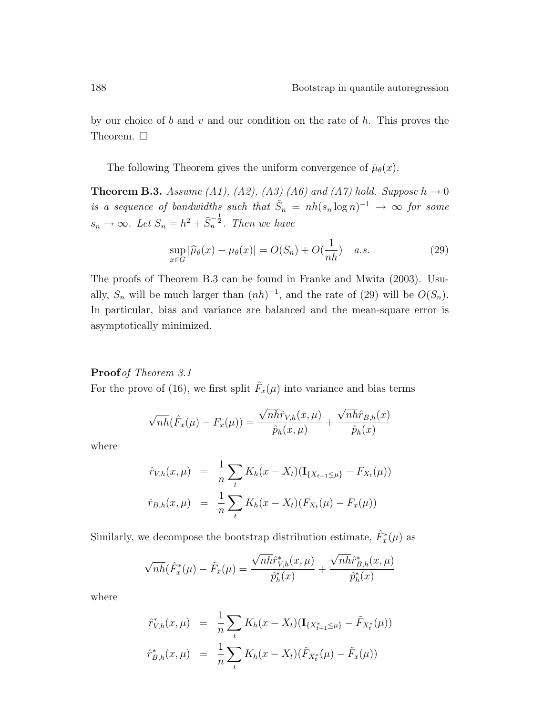by our choice of b and v and our condition on the rate of h. This proves the Theorem.  $\Box$ 

The following Theorem gives the uniform convergence of  $\hat{\mu}_{\theta}(x)$ .

**Theorem B.3.** Assume (A1), (A2), (A3) (A6) and (A7) hold. Suppose  $h \to 0$ is a sequence of bandwidths such that  $\tilde{S}_n = nh(s_n \log n)^{-1} \to \infty$  for some  $s_n \to \infty$ . Let  $S_n = h^2 + \tilde{S}_n^{-\frac{1}{2}}$ . Then we have

$$
\sup_{x \in G} |\widehat{\mu}_{\theta}(x) - \mu_{\theta}(x)| = O(S_n) + O(\frac{1}{nh}) \quad a.s.
$$
\n(29)

The proofs of Theorem B.3 can be found in Franke and Mwita (2003). Usually,  $S_n$  will be much larger than  $(nh)^{-1}$ , and the rate of (29) will be  $O(S_n)$ . In particular, bias and variance are balanced and the mean-square error is asymptotically minimized.

### Proof of Theorem 3.1

For the prove of (16), we first split  $\hat{F}_x(\mu)$  into variance and bias terms

$$
\sqrt{nh}(\hat{F}_x(\mu) - F_x(\mu)) = \frac{\sqrt{nh}\hat{r}_{V,h}(x,\mu)}{\hat{p}_h(x,\mu)} + \frac{\sqrt{nh}\hat{r}_{B,h}(x)}{\hat{p}_h(x)}
$$

where

$$
\hat{r}_{V,h}(x,\mu) = \frac{1}{n} \sum_{t} K_h(x - X_t) (\mathbf{I}_{\{X_{t+1} \le \mu\}} - F_{X_t}(\mu))
$$
  

$$
\hat{r}_{B,h}(x,\mu) = \frac{1}{n} \sum_{t} K_h(x - X_t) (F_{X_t}(\mu) - F_x(\mu))
$$

Similarly, we decompose the bootstrap distribution estimate,  $\hat{F}_x^*(\mu)$  as

$$
\sqrt{nh}(\hat{F}_x^*(\mu) - \tilde{F}_x(\mu)) = \frac{\sqrt{nh}\hat{r}_{V,h}^*(x,\mu)}{\hat{p}_h^*(x)} + \frac{\sqrt{nh}\hat{r}_{B,h}^*(x,\mu)}{\hat{p}_h^*(x)}
$$

where

$$
\hat{r}_{V,h}^*(x,\mu) = \frac{1}{n} \sum_t K_h(x - X_t) (\mathbf{I}_{\{X_{t+1}^* \le \mu\}} - \tilde{F}_{X_t^*}(\mu))
$$
\n
$$
\hat{r}_{B,h}^*(x,\mu) = \frac{1}{n} \sum_t K_h(x - X_t) (\tilde{F}_{X_t^*}(\mu) - \tilde{F}_x(\mu))
$$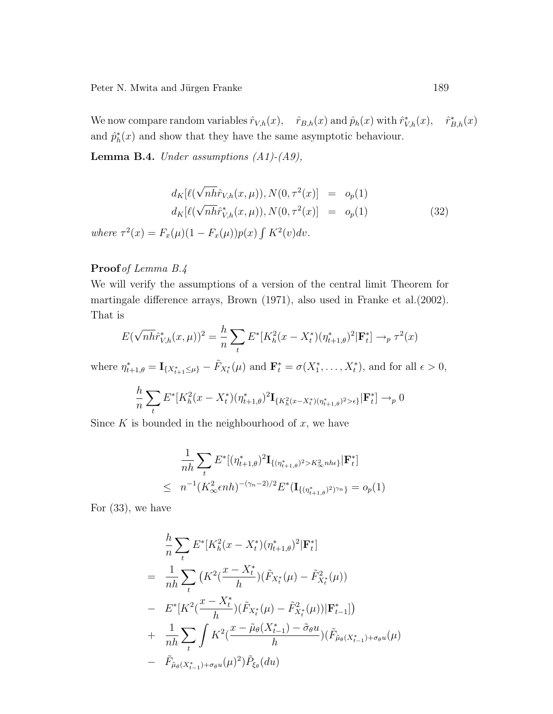We now compare random variables  $\hat{r}_{V,h}(x)$ ,  $\hat{r}_{B,h}(x)$  and  $\hat{p}_h(x)$  with  $\hat{r}_{V,h}^*(x)$ ,  $\hat{r}_{B,h}^*(x)$ and  $\hat{p}_h^*(x)$  and show that they have the same asymptotic behaviour.

**Lemma B.4.** Under assumptions  $(A1)-(A9)$ ,

$$
d_K[\ell(\sqrt{n\hat{h}r}_{V,h}(x,\mu)), N(0,\tau^2(x)] = o_p(1)
$$
  
\n
$$
d_K[\ell(\sqrt{n\hat{h}r}_{V,h}^*(x,\mu)), N(0,\tau^2(x)] = o_p(1)
$$
  
\nwhere  $\tau^2(x) = F_x(\mu)(1 - F_x(\mu))p(x) \int K^2(v)dv.$  (32)

### Proof of Lemma B.4

We will verify the assumptions of a version of the central limit Theorem for martingale difference arrays, Brown (1971), also used in Franke et al.(2002). That is

$$
E(\sqrt{n\hbar}\tilde{r}_{V,h}^*(x,\mu))^2 = \frac{h}{n}\sum_{t} E^*[K_h^2(x - X_t^*)(\eta_{t+1,\theta}^*)^2 | \mathbf{F}_t^*] \to_p \tau^2(x)
$$

where  $\eta_{t+1,\theta}^* = \mathbf{I}_{\{X_{t+1}^*\leq \mu\}} - \tilde{F}_{X_t^*}(\mu)$  and  $\mathbf{F}_t^* = \sigma(X_1^*, \dots, X_t^*)$ , and for all  $\epsilon > 0$ ,

$$
\frac{h}{n}\sum_{t} E^*[K_h^2(x - X_t^*)(\eta_{t+1,\theta}^*)^2 \mathbf{I}_{\{K_h^2(x - X_t^*)(\eta_{t+1,\theta}^*)^2 > \epsilon\}}|\mathbf{F}_t^*] \to_p 0
$$

Since  $K$  is bounded in the neighbourhood of  $x$ , we have

$$
\frac{1}{nh} \sum_{t} E^* [(\eta^*_{t+1,\theta})^2 \mathbf{I}_{\{(\eta^*_{t+1,\theta})^2 > K^2_{\infty} n h \epsilon\}} | \mathbf{F}_t^*]
$$
  
\n
$$
\leq n^{-1} (K^2_{\infty} \epsilon n h)^{-(\gamma_n - 2)/2} E^* (\mathbf{I}_{\{(\eta^*_{t+1,\theta})^2 \} \gamma n} = o_p(1)
$$

For (33), we have

$$
\frac{h}{n} \sum_{t} E^* [K_h^2 (x - X_t^*) (\eta_{t+1,\theta}^*)^2 | \mathbf{F}_t^*]
$$
\n
$$
= \frac{1}{nh} \sum_{t} \left( K^2 (\frac{x - X_t^*}{h}) (\tilde{F}_{X_t^*}(\mu) - \tilde{F}_{X_t^*}^2(\mu)) \right)
$$
\n
$$
- E^* [K^2 (\frac{x - X_t^*}{h}) (\tilde{F}_{X_t^*}(\mu) - \tilde{F}_{X_t^*}^2(\mu)) | \mathbf{F}_{t-1}^*] \right)
$$
\n
$$
+ \frac{1}{nh} \sum_{t} \int K^2 (\frac{x - \tilde{\mu}_{\theta}(X_{t-1}^*) - \tilde{\sigma}_{\theta} u}{h}) (\tilde{F}_{\tilde{\mu}_{\theta}(X_{t-1}^*) + \sigma_{\theta} u}(\mu))
$$
\n
$$
- \tilde{F}_{\tilde{\mu}_{\theta}(X_{t-1}^*) + \sigma_{\theta} u}(\mu)^2) \tilde{P}_{\xi_{\theta}}(du)
$$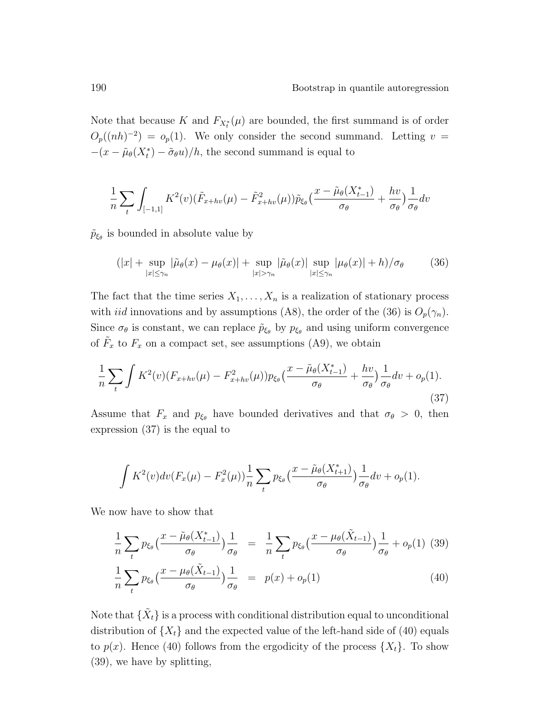Note that because K and  $F_{X_t^*}(\mu)$  are bounded, the first summand is of order  $O_p((nh)^{-2}) = o_p(1)$ . We only consider the second summand. Letting  $v =$  $-(x - \tilde{\mu}_{\theta}(X_t^*) - \tilde{\sigma}_{\theta}u)/h$ , the second summand is equal to

$$
\frac{1}{n}\sum_{t}\int_{[-1,1]}K^{2}(v)(\tilde{F}_{x+hv}(\mu)-\tilde{F}_{x+hv}^{2}(\mu))\tilde{p}_{\xi_{\theta}}\left(\frac{x-\tilde{\mu}_{\theta}(X_{t-1}^{*})}{\sigma_{\theta}}+\frac{hv}{\sigma_{\theta}}\right)\frac{1}{\sigma_{\theta}}dv
$$

 $\tilde{p}_{\xi_{\theta}}$  is bounded in absolute value by

$$
(|x| + \sup_{|x| \le \gamma_n} |\tilde{\mu}_{\theta}(x) - \mu_{\theta}(x)| + \sup_{|x| > \gamma_n} |\tilde{\mu}_{\theta}(x)| \sup_{|x| \le \gamma_n} |\mu_{\theta}(x)| + h)/\sigma_{\theta}
$$
 (36)

The fact that the time series  $X_1, \ldots, X_n$  is a realization of stationary process with *iid* innovations and by assumptions (A8), the order of the (36) is  $O_p(\gamma_n)$ . Since  $\sigma_{\theta}$  is constant, we can replace  $\tilde{p}_{\xi_{\theta}}$  by  $p_{\xi_{\theta}}$  and using uniform convergence of  $\tilde{F}_x$  to  $F_x$  on a compact set, see assumptions (A9), we obtain

$$
\frac{1}{n}\sum_{t}\int K^{2}(v)(F_{x+hv}(\mu)-F_{x+hv}^{2}(\mu))p_{\xi_{\theta}}\left(\frac{x-\tilde{\mu}_{\theta}(X_{t-1}^{*})}{\sigma_{\theta}}+\frac{hv}{\sigma_{\theta}}\right)\frac{1}{\sigma_{\theta}}dv+o_{p}(1).
$$
\n(37)

Assume that  $F_x$  and  $p_{\xi_\theta}$  have bounded derivatives and that  $\sigma_\theta > 0$ , then expression (37) is the equal to

$$
\int K^2(v)dv(F_x(\mu) - F_x^2(\mu))\frac{1}{n}\sum_t p_{\xi_\theta}\left(\frac{x-\tilde{\mu}_\theta(X_{t+1}^*)}{\sigma_\theta}\right)\frac{1}{\sigma_\theta}dv + o_p(1).
$$

We now have to show that

$$
\frac{1}{n}\sum_{t}p_{\xi_{\theta}}\left(\frac{x-\tilde{\mu}_{\theta}(X_{t-1}^{*})}{\sigma_{\theta}}\right)\frac{1}{\sigma_{\theta}} = \frac{1}{n}\sum_{t}p_{\xi_{\theta}}\left(\frac{x-\mu_{\theta}(\tilde{X}_{t-1})}{\sigma_{\theta}}\right)\frac{1}{\sigma_{\theta}} + o_{p}(1) \tag{39}
$$
\n
$$
\frac{1}{n}\sum_{t}p_{\xi_{\theta}}\left(\frac{x-\mu_{\theta}(\tilde{X}_{t-1})}{\sigma_{\theta}}\right)\frac{1}{\sigma_{\theta}} = p(x) + o_{p}(1) \tag{40}
$$

Note that  $\{\tilde{X}_t\}$  is a process with conditional distribution equal to unconditional distribution of  $\{X_t\}$  and the expected value of the left-hand side of (40) equals to  $p(x)$ . Hence (40) follows from the ergodicity of the process  $\{X_t\}$ . To show (39), we have by splitting,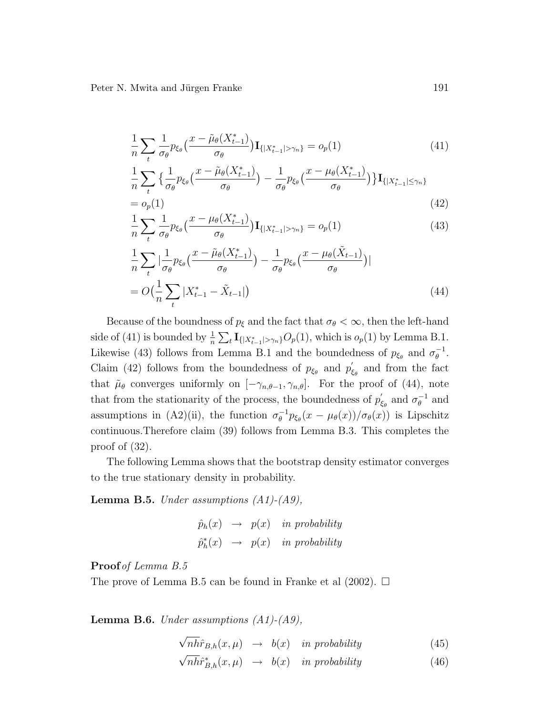$$
\frac{1}{n} \sum_{t} \frac{1}{\sigma_{\theta}} p_{\xi_{\theta}} \left( \frac{x - \tilde{\mu}_{\theta}(X_{t-1}^{*})}{\sigma_{\theta}} \right) \mathbf{I}_{\{|X_{t-1}^{*}| > \gamma_{n}\}} = o_{p}(1)
$$
\n(41)

$$
\frac{1}{n}\sum_{t}\left\{\frac{1}{\sigma_{\theta}}p_{\xi_{\theta}}\left(\frac{x-\tilde{\mu}_{\theta}(X_{t-1}^{*})}{\sigma_{\theta}}\right)-\frac{1}{\sigma_{\theta}}p_{\xi_{\theta}}\left(\frac{x-\mu_{\theta}(X_{t-1}^{*})}{\sigma_{\theta}}\right)\right\}\mathbf{I}_{\{|X_{t-1}^{*}|\leq\gamma_{n}\}}\tag{42}
$$

$$
\frac{1}{n}\sum_{t}\frac{1}{\sigma_{\theta}}p_{\xi_{\theta}}\left(\frac{x-\mu_{\theta}(X_{t-1}^{*})}{\sigma_{\theta}}\right)\mathbf{I}_{\{|X_{t-1}^{*}|>\gamma_{n}\}}=o_{p}(1)
$$
\n(43)

$$
\frac{1}{n}\sum_{t} \left| \frac{1}{\sigma_{\theta}} p_{\xi_{\theta}} \left( \frac{x - \tilde{\mu}_{\theta}(X_{t-1}^{*})}{\sigma_{\theta}} \right) - \frac{1}{\sigma_{\theta}} p_{\xi_{\theta}} \left( \frac{x - \mu_{\theta}(\tilde{X}_{t-1})}{\sigma_{\theta}} \right) \right|
$$
\n
$$
= O\left(\frac{1}{n}\sum_{t} |X_{t-1}^{*} - \tilde{X}_{t-1}| \right) \tag{44}
$$

Because of the boundness of  $p_{\xi}$  and the fact that  $\sigma_{\theta} < \infty$ , then the left-hand side of (41) is bounded by  $\frac{1}{n} \sum_{t} \mathbf{I}_{\{|X_{t-1}^*| > \gamma_n\}} O_p(1)$ , which is  $o_p(1)$  by Lemma B.1. Likewise (43) follows from Lemma B.1 and the boundedness of  $p_{\xi_{\theta}}$  and  $\sigma_{\theta}^{-1}$  $_\theta^{-1}.$ Claim (42) follows from the boundedness of  $p_{\xi_{\theta}}$  and  $p_{\xi}$  $\zeta_{\theta}$  and from the fact that  $\tilde{\mu}_{\theta}$  converges uniformly on  $[-\gamma_{n,\theta-1}, \gamma_{n,\theta}]$ . For the proof of (44), note that from the stationarity of the process, the boundedness of  $p'_{\ell}$  $\zeta_{\theta}$  and  $\sigma_{\theta}^{-1}$  $_{\theta}^{-1}$  and assumptions in (A2)(ii), the function  $\sigma_{\theta}^{-1}$  $\int_{\theta}^{-1} p_{\xi_{\theta}}(x - \mu_{\theta}(x)) / \sigma_{\theta}(x)$  is Lipschitz continuous.Therefore claim (39) follows from Lemma B.3. This completes the proof of (32).

The following Lemma shows that the bootstrap density estimator converges to the true stationary density in probability.

**Lemma B.5.** Under assumptions  $(A1)$ - $(A9)$ ,

$$
\hat{p}_h(x) \rightarrow p(x) \text{ in probability}
$$
\n
$$
\hat{p}_h^*(x) \rightarrow p(x) \text{ in probability}
$$

Proof of Lemma B.5

The prove of Lemma B.5 can be found in Franke et al  $(2002)$ .  $\Box$ 

**Lemma B.6.** Under assumptions  $(A1)$ - $(A9)$ ,

√  $nh\hat{r}_{B,h}(x,\mu) \rightarrow b(x)$  in probability (45)

$$
\sqrt{n h} \hat{r}_{B,h}^*(x,\mu) \rightarrow b(x) \quad \text{in probability} \tag{46}
$$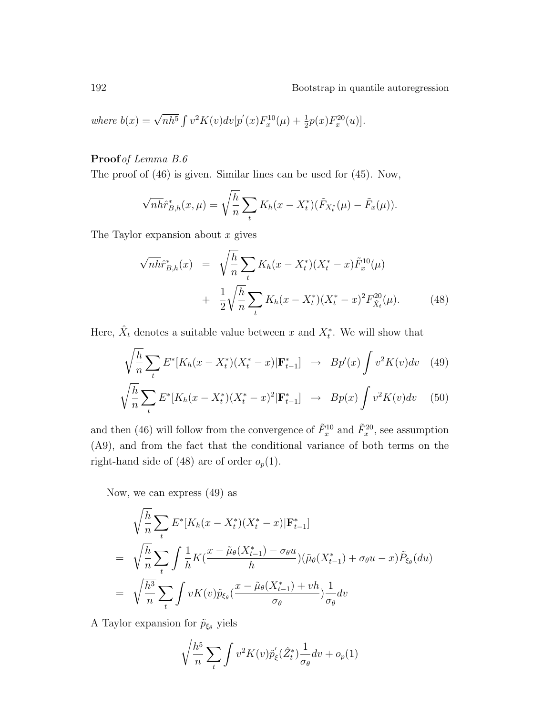192 Bootstrap in quantile autoregression

where 
$$
b(x) = \sqrt{nh^5} \int v^2 K(v) dv[p'(x) F_x^{10}(\mu) + \frac{1}{2}p(x) F_x^{20}(u)].
$$

### Proof of Lemma B.6

The proof of (46) is given. Similar lines can be used for (45). Now,

$$
\sqrt{n\hbar}\tilde{r}_{B,h}^*(x,\mu) = \sqrt{\frac{h}{n}} \sum_{t} K_h(x - X_t^*)(\tilde{F}_{X_t^*}(\mu) - \tilde{F}_x(\mu)).
$$

The Taylor expansion about  $x$  gives

$$
\sqrt{n} \hat{h}^*_{B,h}(x) = \sqrt{\frac{h}{n}} \sum_t K_h(x - X_t^*)(X_t^* - x) \tilde{F}_x^{10}(\mu)
$$
  
+ 
$$
\frac{1}{2} \sqrt{\frac{h}{n}} \sum_t K_h(x - X_t^*)(X_t^* - x)^2 F_{\hat{X}_t}^{20}(\mu).
$$
 (48)

Here,  $\hat{X}_t$  denotes a suitable value between x and  $X_t^*$ . We will show that

$$
\sqrt{\frac{h}{n}} \sum_{t} E^*[K_h(x - X_t^*)(X_t^* - x) | \mathbf{F}_{t-1}^*] \rightarrow Bp'(x) \int v^2 K(v) dv \quad (49)
$$

$$
\sqrt{\frac{h}{n}} \sum_{t}^{t} E^*[K_h(x - X_t^*)(X_t^* - x)^2 | \mathbf{F}_{t-1}^*] \rightarrow Bp(x) \int v^2 K(v) dv \quad (50)
$$

and then (46) will follow from the convergence of  $\tilde{F}_x^{10}$  and  $\tilde{F}_x^{20}$ , see assumption (A9), and from the fact that the conditional variance of both terms on the right-hand side of (48) are of order  $o_p(1)$ .

Now, we can express (49) as

$$
\sqrt{\frac{h}{n}} \sum_{t} E^*[K_h(x - X_t^*)(X_t^* - x) | \mathbf{F}_{t-1}^*]
$$
\n
$$
= \sqrt{\frac{h}{n}} \sum_{t} \int \frac{1}{h} K(\frac{x - \tilde{\mu}_{\theta}(X_{t-1}^*) - \sigma_{\theta} u}{h}) (\tilde{\mu}_{\theta}(X_{t-1}^*) + \sigma_{\theta} u - x) \tilde{P}_{\xi_{\theta}}(du)
$$
\n
$$
= \sqrt{\frac{h^3}{n}} \sum_{t} \int v K(v) \tilde{p}_{\xi_{\theta}}(\frac{x - \tilde{\mu}_{\theta}(X_{t-1}^*) + vh}{\sigma_{\theta}}) \frac{1}{\sigma_{\theta}} dv
$$

A Taylor expansion for  $\tilde{p}_{\xi_{\theta}}$  yiels

$$
\sqrt{\frac{h^5}{n}} \sum_t \int v^2 K(v) \tilde{p}'_{\xi}(\hat{Z}_t^*) \frac{1}{\sigma_\theta} dv + o_p(1)
$$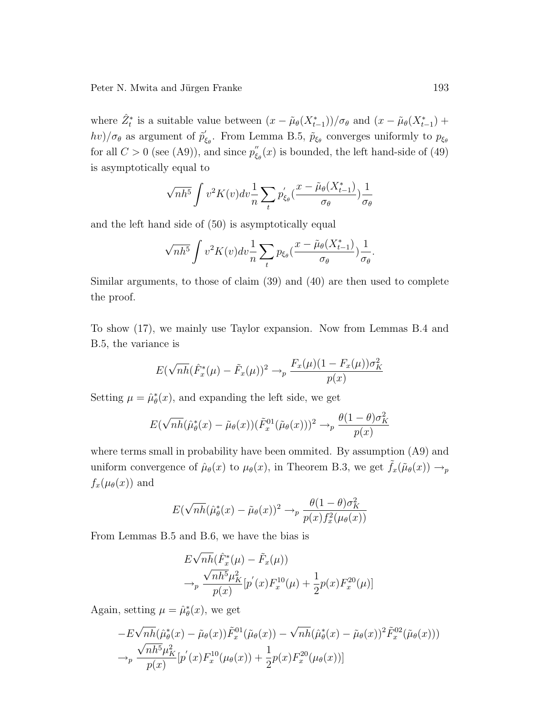where  $\hat{Z}_t^*$  is a suitable value between  $(x - \tilde{\mu}_\theta(X_{t-1}^*))/\sigma_\theta$  and  $(x - \tilde{\mu}_\theta(X_{t-1}^*)$  +  $hv)/\sigma_{\theta}$  as argument of  $\tilde{p}'_g$  $\zeta_{\epsilon_{\theta}}$ . From Lemma B.5,  $\tilde{p}_{\xi_{\theta}}$  converges uniformly to  $p_{\xi_{\theta}}$ for all  $C > 0$  (see (A9)), and since  $p''_{\epsilon}$  $\int_{\xi_{\theta}}^{\theta}(x)$  is bounded, the left hand-side of (49) is asymptotically equal to

$$
\sqrt{nh^5} \int v^2 K(v) dv \frac{1}{n} \sum_t p'_{\xi_\theta} \left( \frac{x - \tilde{\mu}_\theta(X^*_{t-1})}{\sigma_\theta} \right) \frac{1}{\sigma_\theta}
$$

and the left hand side of (50) is asymptotically equal

$$
\sqrt{nh^5} \int v^2 K(v) dv \frac{1}{n} \sum_t p_{\xi_\theta} \left( \frac{x - \tilde{\mu}_\theta(X_{t-1}^*)}{\sigma_\theta} \right) \frac{1}{\sigma_\theta}.
$$

Similar arguments, to those of claim (39) and (40) are then used to complete the proof.

To show (17), we mainly use Taylor expansion. Now from Lemmas B.4 and B.5, the variance is

$$
E(\sqrt{nh}(\hat{F}_x^*(\mu) - \tilde{F}_x(\mu))^2 \to_p \frac{F_x(\mu)(1 - F_x(\mu))\sigma_K^2}{p(x)}
$$

Setting  $\mu = \hat{\mu}_{\theta}^*(x)$ , and expanding the left side, we get

$$
E(\sqrt{nh}(\hat{\mu}_{\theta}^*(x) - \tilde{\mu}_{\theta}(x))(\tilde{F}_x^{01}(\tilde{\mu}_{\theta}(x)))^2 \rightarrow_p \frac{\theta(1-\theta)\sigma_K^2}{p(x)}
$$

where terms small in probability have been ommited. By assumption (A9) and uniform convergence of  $\hat{\mu}_{\theta}(x)$  to  $\mu_{\theta}(x)$ , in Theorem B.3, we get  $\tilde{f}_x(\tilde{\mu}_{\theta}(x)) \rightarrow_p$  $f_x(\mu_\theta(x))$  and

$$
E(\sqrt{nh}(\hat{\mu}_{\theta}^*(x) - \tilde{\mu}_{\theta}(x))^2 \to_p \frac{\theta(1-\theta)\sigma_K^2}{p(x)f_x^2(\mu_{\theta}(x))}
$$

From Lemmas B.5 and B.6, we have the bias is

$$
E\sqrt{nh}(\hat{F}_x^*(\mu) - \tilde{F}_x(\mu))
$$
  
\n
$$
\rightarrow_p \frac{\sqrt{nh^5}\mu_K^2}{p(x)}[p'(x)F_x^{10}(\mu) + \frac{1}{2}p(x)F_x^{20}(\mu)]
$$

Again, setting  $\mu = \hat{\mu}_{\theta}^{*}(x)$ , we get

$$
-E\sqrt{nh}(\hat{\mu}_{\theta}^{*}(x) - \tilde{\mu}_{\theta}(x))\tilde{F}_{x}^{01}(\tilde{\mu}_{\theta}(x)) - \sqrt{nh}(\hat{\mu}_{\theta}^{*}(x) - \tilde{\mu}_{\theta}(x))^{2}\tilde{F}_{x}^{02}(\tilde{\mu}_{\theta}(x)))
$$
  

$$
\rightarrow_{p} \frac{\sqrt{nh^{5}}\mu_{K}^{2}}{p(x)}[p'(x)F_{x}^{10}(\mu_{\theta}(x)) + \frac{1}{2}p(x)F_{x}^{20}(\mu_{\theta}(x))]
$$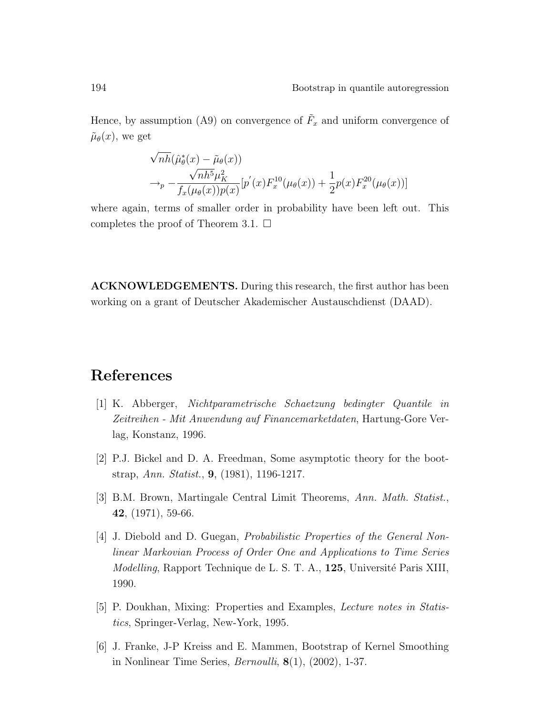Hence, by assumption (A9) on convergence of  $\tilde{F}_x$  and uniform convergence of  $\tilde{\mu}_{\theta}(x)$ , we get

$$
\sqrt{nh}(\hat{\mu}_{\theta}^{*}(x) - \tilde{\mu}_{\theta}(x))
$$
  
\n
$$
\rightarrow_{p} -\frac{\sqrt{nh^{5}}\mu_{K}^{2}}{f_{x}(\mu_{\theta}(x))p(x)}[p^{'}(x)F_{x}^{10}(\mu_{\theta}(x)) + \frac{1}{2}p(x)F_{x}^{20}(\mu_{\theta}(x))]
$$

where again, terms of smaller order in probability have been left out. This completes the proof of Theorem 3.1.  $\Box$ 

ACKNOWLEDGEMENTS. During this research, the first author has been working on a grant of Deutscher Akademischer Austauschdienst (DAAD).

### References

- [1] K. Abberger, Nichtparametrische Schaetzung bedingter Quantile in Zeitreihen - Mit Anwendung auf Financemarketdaten, Hartung-Gore Verlag, Konstanz, 1996.
- [2] P.J. Bickel and D. A. Freedman, Some asymptotic theory for the bootstrap, Ann. Statist., 9, (1981), 1196-1217.
- [3] B.M. Brown, Martingale Central Limit Theorems, Ann. Math. Statist., 42, (1971), 59-66.
- [4] J. Diebold and D. Guegan, Probabilistic Properties of the General Nonlinear Markovian Process of Order One and Applications to Time Series *Modelling*, Rapport Technique de L. S. T. A., 125, Université Paris XIII, 1990.
- [5] P. Doukhan, Mixing: Properties and Examples, Lecture notes in Statistics, Springer-Verlag, New-York, 1995.
- [6] J. Franke, J-P Kreiss and E. Mammen, Bootstrap of Kernel Smoothing in Nonlinear Time Series,  $Bernoulli$ ,  $8(1)$ ,  $(2002)$ , 1-37.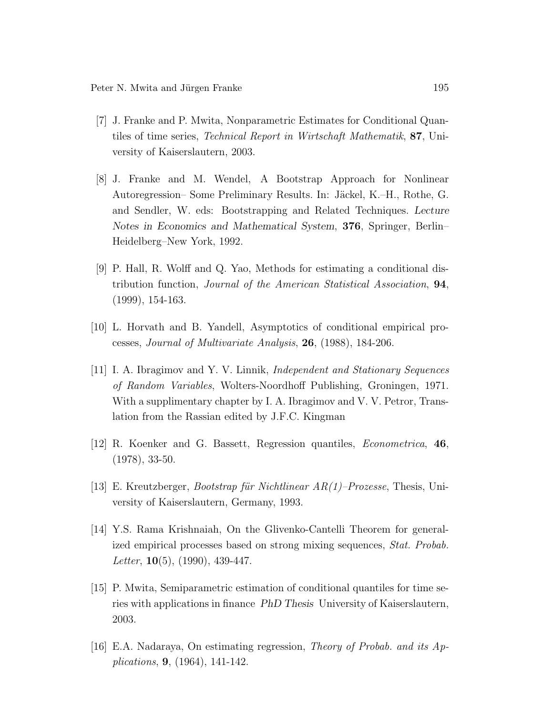- [7] J. Franke and P. Mwita, Nonparametric Estimates for Conditional Quantiles of time series, Technical Report in Wirtschaft Mathematik, 87, University of Kaiserslautern, 2003.
- [8] J. Franke and M. Wendel, A Bootstrap Approach for Nonlinear Autoregression– Some Preliminary Results. In: Jäckel, K.–H., Rothe, G. and Sendler, W. eds: Bootstrapping and Related Techniques. Lecture Notes in Economics and Mathematical System, 376, Springer, Berlin– Heidelberg–New York, 1992.
- [9] P. Hall, R. Wolff and Q. Yao, Methods for estimating a conditional distribution function, Journal of the American Statistical Association, 94, (1999), 154-163.
- [10] L. Horvath and B. Yandell, Asymptotics of conditional empirical processes, Journal of Multivariate Analysis, 26, (1988), 184-206.
- [11] I. A. Ibragimov and Y. V. Linnik, Independent and Stationary Sequences of Random Variables, Wolters-Noordhoff Publishing, Groningen, 1971. With a supplimentary chapter by I. A. Ibragimov and V. V. Petror, Translation from the Rassian edited by J.F.C. Kingman
- [12] R. Koenker and G. Bassett, Regression quantiles, Econometrica, 46, (1978), 33-50.
- [13] E. Kreutzberger, *Bootstrap für Nichtlinear*  $AR(1)$ *–Prozesse*, Thesis, University of Kaiserslautern, Germany, 1993.
- [14] Y.S. Rama Krishnaiah, On the Glivenko-Cantelli Theorem for generalized empirical processes based on strong mixing sequences, Stat. Probab. Letter,  $10(5)$ ,  $(1990)$ ,  $439-447$ .
- [15] P. Mwita, Semiparametric estimation of conditional quantiles for time series with applications in finance PhD Thesis University of Kaiserslautern, 2003.
- [16] E.A. Nadaraya, On estimating regression, Theory of Probab. and its Applications, 9, (1964), 141-142.